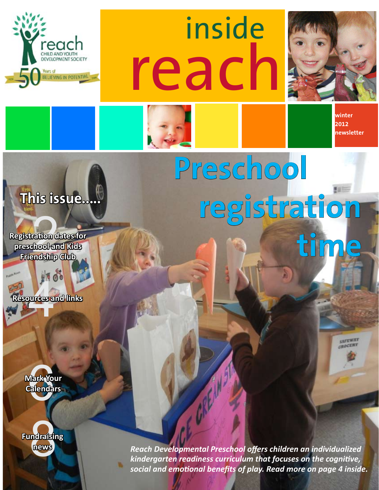

reach inside



**winter 2012 newsletter**

# **This issue.....**

ration d<br>hool an<br>noiship **Registration dates for preschool and Kids Friendship Club**

ures a **Resources and links**



**Indraistr**<br>Mews **Fundraising**  **Preschool registration time** 

**news** *Reach Developmental Preschool offers children an individualized kindergarten readiness curriculum that focuses on the cognitive, social and emotional benefits of play. Read more on page 4 inside.*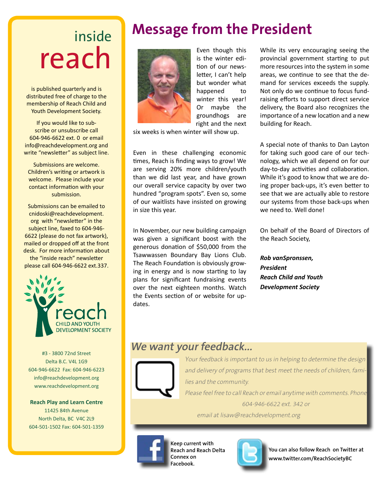# inside reach

is published quarterly and is distributed free of charge to the membership of Reach Child and Youth Development Society.

If you would like to subscribe or unsubscribe call 604-946-6622 ext. 0 or email info@reachdevelopment.org and write "newsletter" as subject line.

Submissions are welcome. Children's writing or artwork is welcome. Please include your contact information with your submission.

Submissions can be emailed to cnidoski@reachdevelopment. org with "newsletter" in the subject line, faxed to 604-946- 6622 (please do not fax artwork), mailed or dropped off at the front desk. For more information about the "inside reach" newsletter please call 604-946-6622 ext.337.



#3 - 3800 72nd Street Delta B.C. V4L 1G9 604-946-6622 Fax: 604-946-6223 info@reachdevelopment.org www.reachdevelopment.org

**Reach Play and Learn Centre** 11425 84th Avenue North Delta, BC V4C 2L9 604-501-1502 Fax: 604-501-1359

# **Message from the President**



 Even though this is the winter edition of our newsletter, I can't help but wonder what happened to winter this year! Or maybe the groundhogs are right and the next

six weeks is when winter will show up.

Even in these challenging economic times, Reach is finding ways to grow! We are serving 20% more children/youth than we did last year, and have grown our overall service capacity by over two hundred "program spots". Even so, some of our waitlists have insisted on growing in size this year.

In November, our new building campaign was given a significant boost with the generous donation of \$50,000 from the Tsawwassen Boundary Bay Lions Club. The Reach Foundation is obviously growing in energy and is now starting to lay plans for significant fundraising events over the next eighteen months. Watch the Events section of or website for updates.

While its very encouraging seeing the provincial government starting to put more resources into the system in some areas, we continue to see that the demand for services exceeds the supply. Not only do we continue to focus fundraising efforts to support direct service delivery, the Board also recognizes the importance of a new location and a new building for Reach.

A special note of thanks to Dan Layton for taking such good care of our technology, which we all depend on for our day-to-day activities and collaboration. While it's good to know that we are doing proper back-ups, it's even better to see that we are actually able to restore our systems from those back-ups when we need to. Well done!

On behalf of the Board of Directors of the Reach Society,

*Rob vanSpronssen, President Reach Child and Youth Development Society*

## **We want your feedback...**



Your feedback is important to us in helping to determine the design and delivery of programs that best meet the needs of children, families and the community.

Please feel free to call Reach or email anytime with comments. Phone 604-946-6622 ext. 342 or

email at lisaw@reachdevelopment.org



**Keep current with Reach and Reach Delta Connex on Facebook.** 



**You can also follow Reach on Twitter at www.twitter.com/ReachSocietyBC**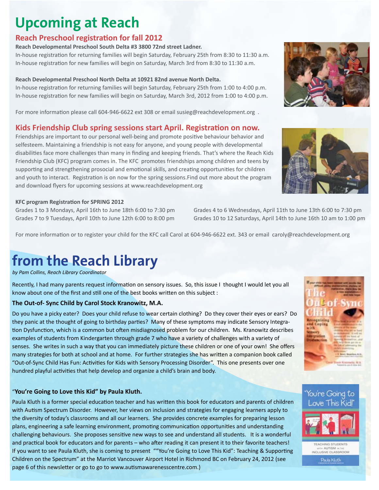# **Upcoming at Reach**

### **Reach Preschool registration for fall 2012**

#### **Reach Developmental Preschool South Delta #3 3800 72nd street Ladner.**

In-house registration for returning families will begin Saturday, February 25th from 8:30 to 11:30 a.m. In-house registration for new families will begin on Saturday, March 3rd from 8:30 to 11:30 a.m.

#### **Reach Developmental Preschool North Delta at 10921 82nd avenue North Delta.**

In-house registration for returning families will begin Saturday, February 25th from 1:00 to 4:00 p.m. In-house registration for new families will begin on Saturday, March 3rd, 2012 from 1:00 to 4:00 p.m.

For more information please call 604-946-6622 ext 308 or email susieg@reachdevelopment.org .

### **Kids Friendship Club spring sessions start April. Registration on now.**

Friendships are important to our personal well-being and promote positive behaviour behavior and selfesteem. Maintaining a friendship is not easy for anyone, and young people with developmental disabilities face more challenges than many in finding and keeping friends. That's where the Reach Kids Friendship Club (KFC) program comes in. The KFC promotes friendships among children and teens by supporting and strengthening prosocial and emotional skills, and creating opportunities for children and youth to interact. Registration is on now for the spring sessions.Find out more about the program and download flyers for upcoming sessions at www.reachdevelopment.org

#### **KFC program Registration for SPRING 2012**

Grades 1 to 3 Mondays, April 16th to June 18th 6:00 to 7:30 pm Grades 4 to 6 Wednesdays, April 11th to June 13th 6:00 to 7:30 pm

For more information or to register your child for the KFC call Carol at 604-946-6622 ext. 343 or email caroly@reachdevelopment.org

# **from the Reach Library**

*by Pam Collins, Reach Library Coordinator* 

Recently, I had many parents request information on sensory issues. So, this issue I thought I would let you all know about one of the first and still one of the best books written on this subject :

#### **The Out-of- Sync Child by Carol Stock Kranowitz, M.A.**

Do you have a picky eater? Does your child refuse to wear certain clothing? Do they cover their eyes or ears? Do they panic at the thought of going to birthday parties? Many of these symptoms may indicate Sensory Integration Dysfunction, which is a common but often misdiagnosed problem for our children. Ms. Kranowitz describes examples of students from Kindergarten through grade 7 who have a variety of challenges with a variety of senses. She writes in such a way that you can immediately picture these children or one of your own! She offers many strategies for both at school and at home. For further strategies she has written a companion book called "Out-of-Sync Child Has Fun: Activities for Kids with Sensory Processing Disorder". This one presents over one hundred playful activities that help develop and organize a child's brain and body.

#### "**You're Going to Love this Kid" by Paula Kluth.**

Paula Kluth is a former special education teacher and has written this book for educators and parents of children with Autism Spectrum Disorder. However, her views on inclusion and strategies for engaging learners apply to the diversity of today's classrooms and all our learners. She provides concrete examples for preparing lesson plans, engineering a safe learning environment, promoting communication opportunities and understanding challenging behaviours. She proposes sensitive new ways to see and understand all students. It is a wonderful and practical book for educators and for parents – who after reading it can present it to their favorite teachers! If you want to see Paula Kluth, she is coming to present ""You're Going to Love This Kid": Teaching & Supporting Children on the Spectrum" at the Marriot Vancouver Airport Hotel in Richmond BC on February 24, 2012 (see page 6 of this newsletter or go to go to www.autismawarenesscentre.com.)





Grades 7 to 9 Tuesdays, April 10th to June 12th 6:00 to 8:00 pm Grades 10 to 12 Saturdays, April 14th to June 16th 10 am to 1:00 pm





TEACHING STUDENTS in AUTISM in th INCLUSIVE CLASSROOM

Paula Kluth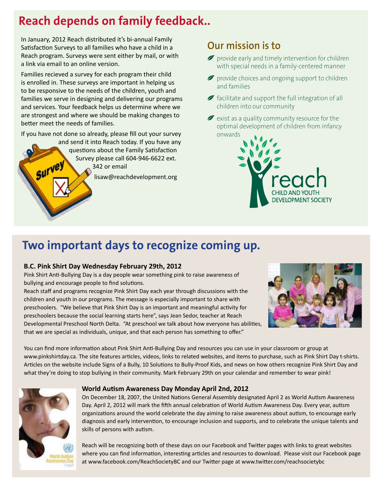## **Reach depends on family feedback..**

In January, 2012 Reach distributed it's bi-annual Family Satisfaction Surveys to all families who have a child in a Reach program. Surveys were sent either by mail, or with a link via email to an online version. **Each year over 800 children benefit from pro-**

Families recieved a survey for each program their child is enrolled in. These surveys are important in helping us to be responsive to the needs of the children, youth and **individualized, and responsive approach means**  families we serve in designing and delivering our programs and services. Your feedback helps us determine where we are strongest and where we should be making changes to **better meet the needs of families.** ecieved a survey for each program their child reach  $\sigma$ 

If you have not done so already, please fill out your survey

and send it into Reach today. If you have any questions about the Family Satisfaction Survey please call 604-946-6622 ext.  $\sim$  342 or email is the service planning is to enable and empower families.

 $\alpha$  diversity and uniqueness of families and children and children and children and children and children and children and children and children and children and children and children and children and children and childr provide individualized approaches to goal identifica-

lisaw@reachdevelopment.org **INDIVIDUAL** 

## **Our mission is to**

- provide early and timely intervention for children with special needs in a family-centered manner
- provide choices and ongoing support to children and families
- *f* facilitate and support the full integration of all children into our community
- $\blacktriangleright$  exist as a quality community resource for the optimal development of children from infancy onwards



#### Two important days to recognize coming up. **The Street of to industry**  $T_{\rm eff}$   $T_{\rm eff}$   $T_{\rm eff}$   $T_{\rm eff}$   $T_{\rm eff}$   $T_{\rm eff}$ community regarding the components of the community regarding the community regarding the community regarding to  $\sim$

## **B.C. Pink Shirt Day Wednesday February 29th, 2012**

tion and service planning.

Pink Shirt Anti-Bullying Day is a day people wear something pink to raise awareness of bullying and encourage people to find solutions.

Reach staff and programs recognize Pink Shirt Day each year through discussions with the children and youth in our programs. The message is especially important to share with preschoolers. "We believe that Pink Shirt Day is an important and meaningful activity for preschoolers because the social learning starts here", says Jean Sedor, teacher at Reach Developmental Preschool North Delta. "At preschool we talk about how everyone has abilities, that we are special as individuals, unique, and that each person has something to offer."



You can find more information about Pink Shirt Anti-Bullying Day and resources you can use in your classroom or group at www.pinkshirtday.ca. The site features articles, videos, links to related websites, and items to purchase, such as Pink Shirt Day t-shirts. Articles on the website include Signs of a Bully, 10 Solutions to Bully-Proof Kids, and news on how others recognize Pink Shirt Day and what they're doing to stop bullying in their community. Mark February 29th on your calendar and remember to wear pink!



#### **World Autism Awareness Day Monday April 2nd, 2012**

On December 18, 2007, the United Nations General Assembly designated April 2 as World Autism Awareness Day. April 2, 2012 will mark the fifth annual celebration of World Autism Awareness Day. Every year, autism organizations around the world celebrate the day aiming to raise awareness about autism, to encourage early diagnosis and early intervention, to encourage inclusion and supports, and to celebrate the unique talents and skills of persons with autism.

Reach will be recognizing both of these days on our Facebook and Twitter pages with links to great websites where you can find information, interesting articles and resources to download. Please visit our Facebook page at www.facebook.com/ReachSocietyBC and our Twitter page at www.twitter.com/reachsocietybc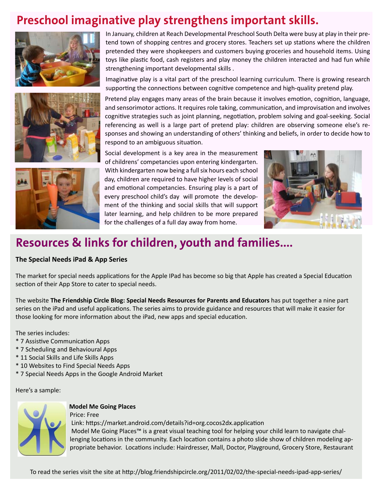## **Preschool imaginative play strengthens important skills.**







In January, children at Reach Developmental Preschool South Delta were busy at play in their pretend town of shopping centres and grocery stores. Teachers set up stations where the children pretended they were shopkeepers and customers buying groceries and household items. Using toys like plastic food, cash registers and play money the children interacted and had fun while strengthening important developmental skills .

Imaginative play is a vital part of the preschool learning curriculum. There is growing research supporting the connections between cognitive competence and high-quality pretend play.

Pretend play engages many areas of the brain because it involves emotion, cognition, language, and sensorimotor actions. It requires role taking, communication, and improvisation and involves cognitive strategies such as joint planning, negotiation, problem solving and goal-seeking. Social referencing as well is a large part of pretend play: children are observing someone else's responses and showing an understanding of others' thinking and beliefs, in order to decide how to respond to an ambiguous situation.

Social development is a key area in the measurement of childrens' competancies upon entering kindergarten. With kindergarten now being a full six hours each school day, children are required to have higher levels of social and emotional competancies. Ensuring play is a part of every preschool child's day will promote the development of the thinking and social skills that will support later learning, and help children to be more prepared for the challenges of a full day away from home.



## **Resources & links for children, youth and families....**

#### **The Special Needs iPad & App Series**

The market for special needs applications for the Apple IPad has become so big that Apple has created a Special Education section of their App Store to cater to special needs.

The website **The Friendship Circle Blog: Special Needs Resources for Parents and Educators** has put together a nine part series on the iPad and useful applications. The series aims to provide guidance and resources that will make it easier for those looking for more information about the iPad, new apps and special education.

The series includes:

- \* 7 Assistive Communication Apps
- \* 7 Scheduling and Behavioural Apps
- \* 11 Social Skills and Life Skills Apps
- \* 10 Websites to Find Special Needs Apps
- \* 7 Special Needs Apps in the Google Android Market

Here's a sample:



#### **Model Me Going Places**

Price: Free Link: https://market.android.com/details?id=org.cocos2dx.application Model Me Going Places™ is a great visual teaching tool for helping your child learn to navigate challenging locations in the community. Each location contains a photo slide show of children modeling appropriate behavior. Locations include: Hairdresser, Mall, Doctor, Playground, Grocery Store, Restaurant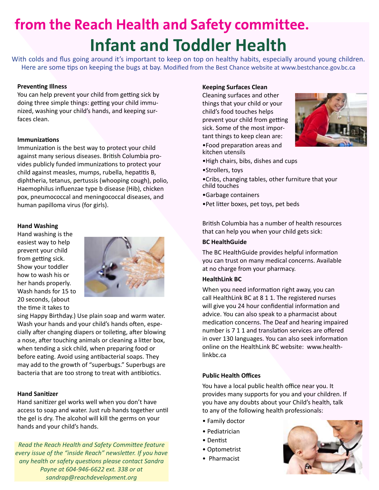# **from the Reach Health and Safety committee. Infant and Toddler Health**

With colds and flus going around it's important to keep on top on healthy habits, especially around young children. Here are some tips on keeping the bugs at bay. Modified from the Best Chance website at www.bestchance.gov.bc.ca

#### **Preventing Illness**

You can help prevent your child from getting sick by doing three simple things: getting your child immunized, washing your child's hands, and keeping surfaces clean.

#### **Immunizations**

Immunization is the best way to protect your child against many serious diseases. British Columbia provides publicly funded immunizations to protect your child against measles, mumps, rubella, hepatitis B, diphtheria, tetanus, pertussis (whooping cough), polio, Haemophilus influenzae type b disease (Hib), chicken pox, pneumococcal and meningococcal diseases, and human papilloma virus (for girls).

#### **Hand Washing**

Hand washing is the easiest way to help prevent your child from getting sick. Show your toddler how to wash his or her hands properly. Wash hands for 15 to 20 seconds, (about the time it takes to



sing Happy Birthday.) Use plain soap and warm water. Wash your hands and your child's hands often, especially after changing diapers or toileting, after blowing a nose, after touching animals or cleaning a litter box, when tending a sick child, when preparing food or before eating. Avoid using antibacterial soaps. They may add to the growth of "superbugs." Superbugs are bacteria that are too strong to treat with antibiotics.

#### **Hand Sanitizer**

Hand sanitizer gel works well when you don't have access to soap and water. Just rub hands together until the gel is dry. The alcohol will kill the germs on your hands and your child's hands.

*Read the Reach Health and Safety Committee feature every issue of the "inside Reach" newsletter. If you have any health or safety questions please contact Sandra Payne at 604-946-6622 ext. 338 or at sandrap@reachdevelopment.org* 

#### **Keeping Surfaces Clean**

Cleaning surfaces and other things that your child or your child's food touches helps prevent your child from getting sick. Some of the most important things to keep clean are:



•Food preparation areas and kitchen utensils

- •High chairs, bibs, dishes and cups
- •Strollers, toys
- •Cribs, changing tables, other furniture that your child touches
- •Garbage containers
- •Pet litter boxes, pet toys, pet beds

British Columbia has a number of health resources that can help you when your child gets sick:

#### **BC HealthGuide**

The BC HealthGuide provides helpful information you can trust on many medical concerns. Available at no charge from your pharmacy.

#### **HealthLink BC**

When you need information right away, you can call HealthLink BC at 8 1 1. The registered nurses will give you 24 hour confidential information and advice. You can also speak to a pharmacist about medication concerns. The Deaf and hearing impaired number is 7 1 1 and translation services are offered in over 130 languages. You can also seek information online on the HealthLink BC website: www.healthlinkbc.ca

#### **Public Health Offices**

You have a local public health office near you. It provides many supports for you and your children. If you have any doubts about your Child's health, talk to any of the following health professionals:

- Family doctor
- Pediatrician
- Dentist
- Optometrist
- Pharmacist

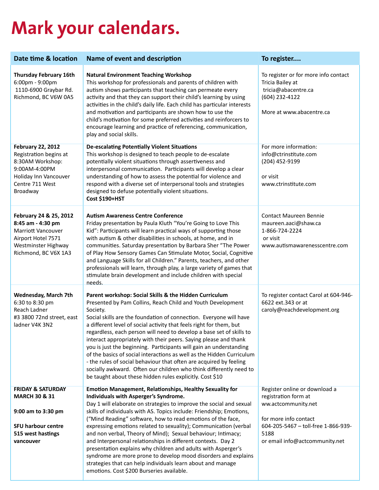# **Mark your calendars.**

| Date time & location                                                                                                                            | Name of event and description                                                                                                                                                                                                                                                                                                                                                                                                                                                                                                                                                                                                                                                                                                                                                     | To register                                                                                                                                                                            |
|-------------------------------------------------------------------------------------------------------------------------------------------------|-----------------------------------------------------------------------------------------------------------------------------------------------------------------------------------------------------------------------------------------------------------------------------------------------------------------------------------------------------------------------------------------------------------------------------------------------------------------------------------------------------------------------------------------------------------------------------------------------------------------------------------------------------------------------------------------------------------------------------------------------------------------------------------|----------------------------------------------------------------------------------------------------------------------------------------------------------------------------------------|
| <b>Thursday February 16th</b><br>6:00pm - 9:00pm<br>1110-6900 Graybar Rd.<br>Richmond, BC V6W 0A5                                               | <b>Natural Environment Teaching Workshop</b><br>This workshop for professionals and parents of children with<br>autism shows participants that teaching can permeate every<br>activity and that they can support their child's learning by using<br>activities in the child's daily life. Each child has particular interests<br>and motivation and participants are shown how to use the<br>child's motivation for some preferred activities and reinforcers to<br>encourage learning and practice of referencing, communication,<br>play and social skills.                                                                                                                                                                                                                     | To register or for more info contact<br>Tricia Bailey at<br>tricia@abacentre.ca<br>(604) 232-4122<br>More at www.abacentre.ca                                                          |
| <b>February 22, 2012</b><br>Registration begins at<br>8:30AM Workshop:<br>9:00AM-4:00PM<br>Holiday Inn Vancouver<br>Centre 711 West<br>Broadway | <b>De-escalating Potentially Violent Situations</b><br>This workshop is designed to teach people to de-escalate<br>potentially violent situations through assertiveness and<br>interpersonal communication. Participants will develop a clear<br>understanding of how to assess the potential for violence and<br>respond with a diverse set of interpersonal tools and strategies<br>designed to defuse potentially violent situations.<br><b>Cost \$190+HST</b>                                                                                                                                                                                                                                                                                                                 | For more information:<br>info@ctrinstitute.com<br>(204) 452-9199<br>or visit<br>www.ctrinstitute.com                                                                                   |
| February 24 & 25, 2012<br>8:45 am - 4:30 pm<br><b>Marriott Vancouver</b><br>Airport Hotel 7571<br>Westminster Highway<br>Richmond, BC V6X 1A3   | <b>Autism Awareness Centre Conference</b><br>Friday presentation by Paula Kluth "You're Going to Love This<br>Kid": Participants will learn practical ways of supporting those<br>with autism & other disabilities in schools, at home, and in<br>communities. Saturday presentation by Barbara Sher "The Power<br>of Play How Sensory Games Can Stimulate Motor, Social, Cognitive<br>and Language Skills for all Children." Parents, teachers, and other<br>professionals will learn, through play, a large variety of games that<br>stimulate brain development and include children with special<br>needs.                                                                                                                                                                    | <b>Contact Maureen Bennie</b><br>maureen.aaci@shaw.ca<br>1-866-724-2224<br>or visit<br>www.autismawarenesscentre.com                                                                   |
| Wednesday, March 7th<br>6:30 to 8:30 pm<br>Reach Ladner<br>#3 3800 72nd street, east<br>ladner V4K 3N2                                          | Parent workshop: Social Skills & the Hidden Curriculum<br>Presented by Pam Collins, Reach Child and Youth Development<br>Society.<br>Social skills are the foundation of connection. Everyone will have<br>a different level of social activity that feels right for them, but<br>regardless, each person will need to develop a base set of skills to<br>interact appropriately with their peers. Saying please and thank<br>you is just the beginning. Participants will gain an understanding<br>of the basics of social interactions as well as the Hidden Curriculum<br>- the rules of social behaviour that often are acquired by feeling<br>socially awkward. Often our children who think differently need to<br>be taught about these hidden rules explicitly. Cost \$10 | To register contact Carol at 604-946-<br>6622 ext.343 or at<br>caroly@reachdevelopment.org                                                                                             |
| <b>FRIDAY &amp; SATURDAY</b><br><b>MARCH 30 &amp; 31</b><br>9:00 am to 3:30 pm<br><b>SFU harbour centre</b><br>515 west hastings<br>vancouver   | Emotion Management, Relationships, Healthy Sexuality for<br>Individuals with Asperger's Syndrome.<br>Day 1 will elaborate on strategies to improve the social and sexual<br>skills of individuals with AS. Topics include: Friendship; Emotions,<br>("Mind Reading" software, how to read emotions of the face,<br>expressing emotions related to sexuality); Communication (verbal<br>and non verbal, Theory of Mind); Sexual behaviour; Intimacy;<br>and Interpersonal relationships in different contexts. Day 2<br>presentation explains why children and adults with Asperger's<br>syndrome are more prone to develop mood disorders and explains<br>strategies that can help individuals learn about and manage<br>emotions. Cost \$200 Burseries available.                | Register online or download a<br>registration form at<br>ww.actcommunity.net<br>for more info contact<br>604-205-5467 - toll-free 1-866-939-<br>5188<br>or email info@actcommunity.net |